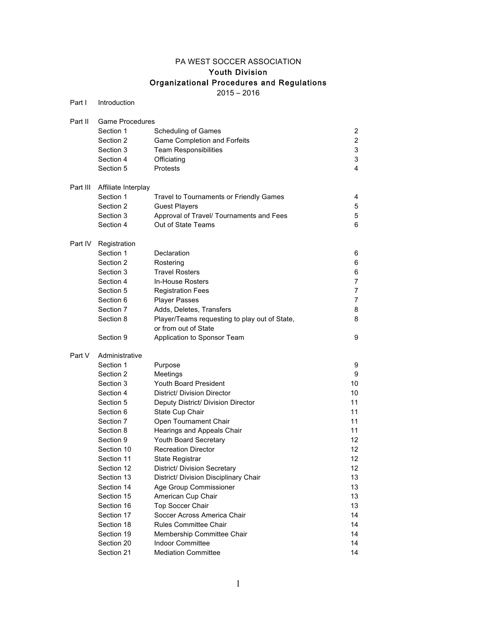# PA WEST SOCCER ASSOCIATION

# Youth Division

# Organizational Procedures and Regulations

2015 – 2016

| Part I   | Introduction           |                                                       |                |  |
|----------|------------------------|-------------------------------------------------------|----------------|--|
| Part II  | <b>Game Procedures</b> |                                                       |                |  |
|          | Section 1              | Scheduling of Games                                   | $\overline{c}$ |  |
|          | Section 2              | Game Completion and Forfeits                          | $\overline{c}$ |  |
|          | Section 3              | <b>Team Responsibilities</b>                          | 3              |  |
|          | Section 4              | Officiating                                           | 3              |  |
|          | Section 5              | Protests                                              | 4              |  |
| Part III | Affiliate Interplay    |                                                       |                |  |
|          | Section 1              | Travel to Tournaments or Friendly Games               | 4              |  |
|          | Section 2              | <b>Guest Players</b>                                  | 5              |  |
|          | Section 3              | Approval of Travel/ Tournaments and Fees              | 5              |  |
|          | Section 4              | Out of State Teams                                    | 6              |  |
| Part IV  | Registration           |                                                       |                |  |
|          | Section 1              | Declaration                                           | 6              |  |
|          | Section 2              | Rostering                                             | 6              |  |
|          | Section 3              | <b>Travel Rosters</b>                                 | 6              |  |
|          | Section 4              | <b>In-House Rosters</b>                               | 7              |  |
|          | Section 5              | <b>Registration Fees</b>                              | 7              |  |
|          | Section 6              | <b>Player Passes</b>                                  | 7              |  |
|          | Section 7              | Adds, Deletes, Transfers                              | 8              |  |
|          | Section 8              | Player/Teams requesting to play out of State,         | 8              |  |
|          |                        | or from out of State                                  |                |  |
|          | Section 9              | Application to Sponsor Team                           | 9              |  |
| Part V   | Administrative         |                                                       |                |  |
|          | Section 1              | Purpose                                               | 9              |  |
|          | Section 2              | Meetings                                              | 9              |  |
|          | Section 3              | <b>Youth Board President</b>                          | 10             |  |
|          | Section 4              | District/ Division Director                           | 10             |  |
|          | Section 5              | Deputy District/ Division Director                    | 11             |  |
|          | Section 6              | State Cup Chair                                       | 11             |  |
|          | Section 7              | Open Tournament Chair                                 | 11             |  |
|          | Section 8              | Hearings and Appeals Chair                            | 11             |  |
|          | Section 9              | Youth Board Secretary                                 | 12             |  |
|          | Section 10             | <b>Recreation Director</b>                            | 12             |  |
|          | Section 11             | <b>State Registrar</b>                                | 12             |  |
|          | Section 12             | District/ Division Secretary                          | 12             |  |
|          | Section 13             | District/ Division Disciplinary Chair                 | 13             |  |
|          | Section 14             | Age Group Commissioner                                | 13             |  |
|          | Section 15             | American Cup Chair                                    | 13             |  |
|          | Section 16             | Top Soccer Chair                                      | 13             |  |
|          | Section 17             | Soccer Across America Chair                           | 14             |  |
|          | Section 18             | <b>Rules Committee Chair</b>                          | 14             |  |
|          | Section 19             | Membership Committee Chair<br><b>Indoor Committee</b> | 14             |  |
|          | Section 20             | <b>Mediation Committee</b>                            | 14<br>14       |  |
|          | Section 21             |                                                       |                |  |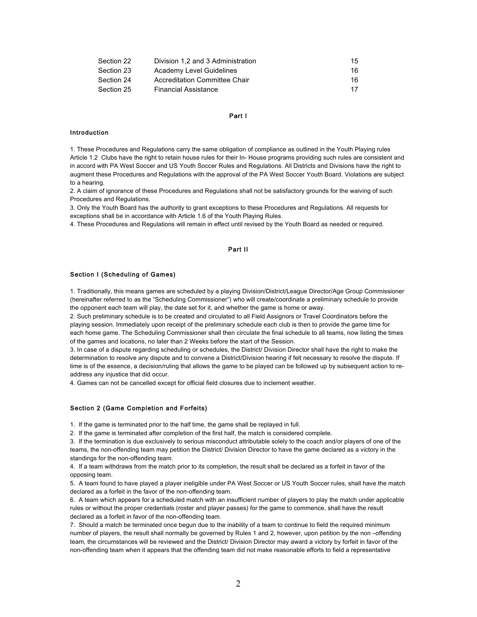| Section 22 | Division 1.2 and 3 Administration | 15  |
|------------|-----------------------------------|-----|
| Section 23 | Academy Level Guidelines          | 16. |
| Section 24 | Accreditation Committee Chair     | 16. |
| Section 25 | <b>Financial Assistance</b>       | 17  |

# Part I

# Introduction

1. These Procedures and Regulations carry the same obligation of compliance as outlined in the Youth Playing rules Article 1.2 Clubs have the right to retain house rules for their In- House programs providing such rules are consistent and in accord with PA West Soccer and US Youth Soccer Rules and Regulations. All Districts and Divisions have the right to augment these Procedures and Regulations with the approval of the PA West Soccer Youth Board. Violations are subject to a hearing.

2. A claim of ignorance of these Procedures and Regulations shall not be satisfactory grounds for the waiving of such Procedures and Regulations.

3. Only the Youth Board has the authority to grant exceptions to these Procedures and Regulations. All requests for exceptions shall be in accordance with Article 1.6 of the Youth Playing Rules.

4. These Procedures and Regulations will remain in effect until revised by the Youth Board as needed or required.

# Part II

#### Section I (Scheduling of Games)

1. Traditionally, this means games are scheduled by a playing Division/District/League Director/Age Group Commissioner (hereinafter referred to as the "Scheduling Commissioner") who will create/coordinate a preliminary schedule to provide the opponent each team will play, the date set for it, and whether the game is home or away.

2. Such preliminary schedule is to be created and circulated to all Field Assignors or Travel Coordinators before the playing session. Immediately upon receipt of the preliminary schedule each club is then to provide the game time for each home game. The Scheduling Commissioner shall then circulate the final schedule to all teams, now listing the times of the games and locations, no later than 2 Weeks before the start of the Session.

3. In case of a dispute regarding scheduling or schedules, the District/ Division Director shall have the right to make the determination to resolve any dispute and to convene a District/Division hearing if felt necessary to resolve the dispute. If time is of the essence, a decision/ruling that allows the game to be played can be followed up by subsequent action to readdress any injustice that did occur.

4. Games can not be cancelled except for official field closures due to inclement weather.

# Section 2 (Game Completion and Forfeits)

1. If the game is terminated prior to the half time, the game shall be replayed in full.

2. If the game is terminated after completion of the first half, the match is considered complete.

3. If the termination is due exclusively to serious misconduct attributable solely to the coach and/or players of one of the teams, the non-offending team may petition the District/ Division Director to have the game declared as a victory in the standings for the non-offending team.

4. If a team withdraws from the match prior to its completion, the result shall be declared as a forfeit in favor of the opposing team.

5. A team found to have played a player ineligible under PA West Soccer or US Youth Soccer rules, shall have the match declared as a forfeit in the favor of the non-offending team.

6. A team which appears for a scheduled match with an insufficient number of players to play the match under applicable rules or without the proper credentials (roster and player passes) for the game to commence, shall have the result declared as a forfeit in favor of the non-offending team.

7. Should a match be terminated once begun due to the inability of a team to continue to field the required minimum number of players, the result shall normally be governed by Rules 1 and 2, however, upon petition by the non –offending team, the circumstances will be reviewed and the District/ Division Director may award a victory by forfeit in favor of the non-offending team when it appears that the offending team did not make reasonable efforts to field a representative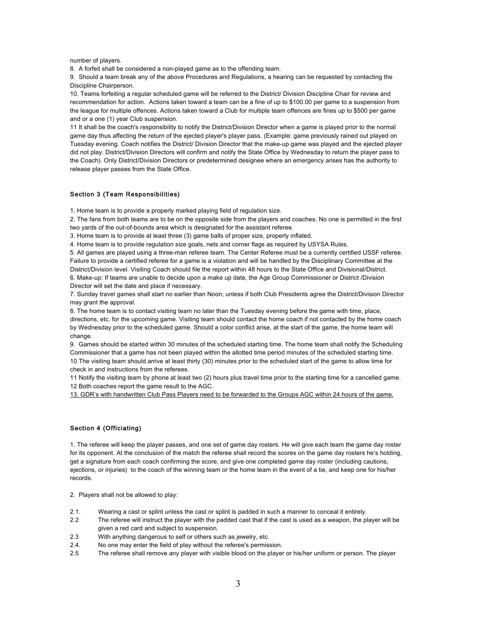number of players.

8. A forfeit shall be considered a non-played game as to the offending team.

9. Should a team break any of the above Procedures and Regulations, a hearing can be requested by contacting the Discipline Chairperson.

10. Teams forfeiting a regular scheduled game will be referred to the District/ Division Discipline Chair for review and recommendation for action. Actions taken toward a team can be a fine of up to \$100.00 per game to a suspension from the league for multiple offences. Actions taken toward a Club for multiple team offences are fines up to \$500 per game and or a one (1) year Club suspension.

11 It shall be the coach's responsibility to notify the District/Division Director when a game is played prior to the normal game day thus affecting the return of the ejected player's player pass. (Example: game previously rained out played on Tuesday evening. Coach notifies the District/ Division Director that the make-up game was played and the ejected player did not play. District/Division Directors will confirm and notify the State Office by Wednesday to return the player pass to the Coach). Only District/Division Directors or predetermined designee where an emergency arises has the authority to release player passes from the State Office.

#### Section 3 (Team Responsibilities)

1. Home team is to provide a properly marked playing field of regulation size.

2. The fans from both teams are to be on the opposite side from the players and coaches. No one is permitted in the first two yards of the out-of-bounds area which is designated for the assistant referee.

3. Home team is to provide at least three (3) game balls of proper size, properly inflated.

4. Home team is to provide regulation size goals, nets and corner flags as required by USYSA Rules.

5. All games are played using a three-man referee team. The Center Referee must be a currently certified USSF referee. Failure to provide a certified referee for a game is a violation and will be handled by the Disciplinary Committee at the District/Division level. Visiting Coach should file the report within 48 hours to the State Office and Divisional/District. 6. Make-up: If teams are unable to decide upon a make up date, the Age Group Commissioner or District /Division Director will set the date and place if necessary.

7. Sunday travel games shall start no earlier than Noon; unless if both Club Presidents agree the District/Division Director may grant the approval.

8. The home team is to contact visiting team no later than the Tuesday evening before the game with time, place, directions, etc. for the upcoming game. Visiting team should contact the home coach if not contacted by the home coach by Wednesday prior to the scheduled game. Should a color conflict arise, at the start of the game, the home team will change.

9. Games should be started within 30 minutes of the scheduled starting time. The home team shall notify the Scheduling Commissioner that a game has not been played within the allotted time period minutes of the scheduled starting time. 10 The visiting team should arrive at least thirty (30) minutes prior to the scheduled start of the game to allow time for check in and instructions from the referees.

11 Notify the visiting team by phone at least two (2) hours plus travel time prior to the starting time for a cancelled game. 12 Both coaches report the game result to the AGC.

13. GDR's with handwritten Club Pass Players need to be forwarded to the Groups AGC within 24 hours of the game.

# Section 4 (Officiating)

1. The referee will keep the player passes, and one set of game day rosters. He will give each team the game day roster for its opponent. At the conclusion of the match the referee shall record the scores on the game day rosters he's holding, get a signature from each coach confirming the score, and give one completed game day roster (including cautions, ejections, or injuries) to the coach of the winning team or the home team in the event of a tie, and keep one for his/her records.

2. Players shall not be allowed to play:

- 2.1. Wearing a cast or splint unless the cast or splint is padded in such a manner to conceal it entirely.
- 2.2 The referee will instruct the player with the padded cast that if the cast is used as a weapon, the player will be given a red card and subject to suspension.
- 2.3 With anything dangerous to self or others such as jewelry, etc.
- 2.4. No one may enter the field of play without the referee's permission.
- 2.5 The referee shall remove any player with visible blood on the player or his/her uniform or person. The player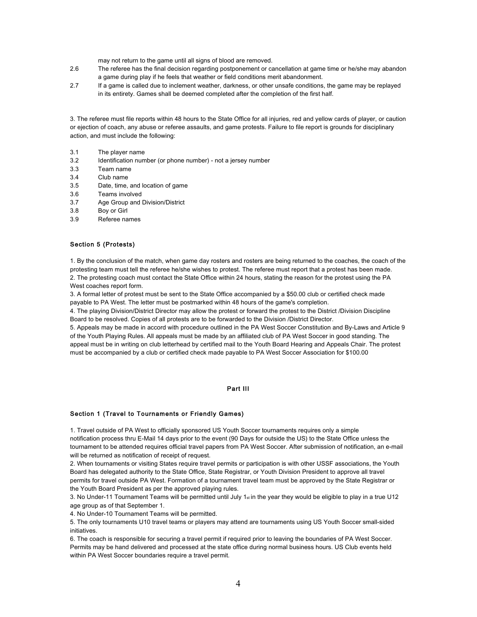may not return to the game until all signs of blood are removed.

- 2.6 The referee has the final decision regarding postponement or cancellation at game time or he/she may abandon a game during play if he feels that weather or field conditions merit abandonment.
- 2.7 If a game is called due to inclement weather, darkness, or other unsafe conditions, the game may be replayed in its entirety. Games shall be deemed completed after the completion of the first half.

3. The referee must file reports within 48 hours to the State Office for all injuries, red and yellow cards of player, or caution or ejection of coach, any abuse or referee assaults, and game protests. Failure to file report is grounds for disciplinary action, and must include the following:

- 3.1 The player name
- 3.2 Identification number (or phone number) not a jersey number
- 3.3 Team name
- 3.4 Club name
- 3.5 Date, time, and location of game
- 3.6 Teams involved
- 3.7 Age Group and Division/District
- 3.8 Boy or Girl
- 3.9 Referee names

# Section 5 (Protests)

1. By the conclusion of the match, when game day rosters and rosters are being returned to the coaches, the coach of the protesting team must tell the referee he/she wishes to protest. The referee must report that a protest has been made. 2. The protesting coach must contact the State Office within 24 hours, stating the reason for the protest using the PA West coaches report form.

3. A formal letter of protest must be sent to the State Office accompanied by a \$50.00 club or certified check made payable to PA West. The letter must be postmarked within 48 hours of the game's completion.

4. The playing Division/District Director may allow the protest or forward the protest to the District /Division Discipline Board to be resolved. Copies of all protests are to be forwarded to the Division /District Director.

5. Appeals may be made in accord with procedure outlined in the PA West Soccer Constitution and By-Laws and Article 9 of the Youth Playing Rules. All appeals must be made by an affiliated club of PA West Soccer in good standing. The appeal must be in writing on club letterhead by certified mail to the Youth Board Hearing and Appeals Chair. The protest must be accompanied by a club or certified check made payable to PA West Soccer Association for \$100.00

# Part III

# Section 1 (Travel to Tournaments or Friendly Games)

1. Travel outside of PA West to officially sponsored US Youth Soccer tournaments requires only a simple notification process thru E-Mail 14 days prior to the event (90 Days for outside the US) to the State Office unless the tournament to be attended requires official travel papers from PA West Soccer. After submission of notification, an e-mail will be returned as notification of receipt of request.

2. When tournaments or visiting States require travel permits or participation is with other USSF associations, the Youth Board has delegated authority to the State Office, State Registrar, or Youth Division President to approve all travel permits for travel outside PA West. Formation of a tournament travel team must be approved by the State Registrar or the Youth Board President as per the approved playing rules.

3. No Under-11 Tournament Teams will be permitted until July  $1<sub>st</sub>$  in the year they would be eligible to play in a true U12 age group as of that September 1.

4. No Under-10 Tournament Teams will be permitted.

5. The only tournaments U10 travel teams or players may attend are tournaments using US Youth Soccer small-sided initiatives.

6. The coach is responsible for securing a travel permit if required prior to leaving the boundaries of PA West Soccer. Permits may be hand delivered and processed at the state office during normal business hours. US Club events held within PA West Soccer boundaries require a travel permit.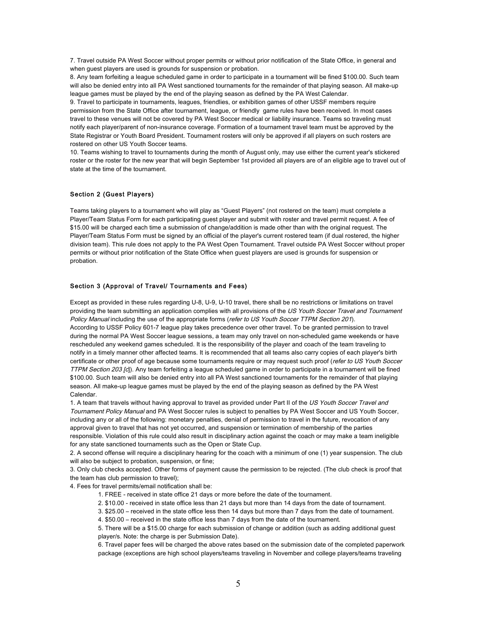7. Travel outside PA West Soccer without proper permits or without prior notification of the State Office, in general and when guest players are used is grounds for suspension or probation.

8. Any team forfeiting a league scheduled game in order to participate in a tournament will be fined \$100.00. Such team will also be denied entry into all PA West sanctioned tournaments for the remainder of that playing season. All make-up league games must be played by the end of the playing season as defined by the PA West Calendar.

9. Travel to participate in tournaments, leagues, friendlies, or exhibition games of other USSF members require permission from the State Office after tournament, league, or friendly game rules have been received. In most cases travel to these venues will not be covered by PA West Soccer medical or liability insurance. Teams so traveling must notify each player/parent of non-insurance coverage. Formation of a tournament travel team must be approved by the State Registrar or Youth Board President. Tournament rosters will only be approved if all players on such rosters are rostered on other US Youth Soccer teams.

10. Teams wishing to travel to tournaments during the month of August only, may use either the current year's stickered roster or the roster for the new year that will begin September 1st provided all players are of an eligible age to travel out of state at the time of the tournament.

# Section 2 (Guest Players)

Teams taking players to a tournament who will play as "Guest Players" (not rostered on the team) must complete a Player/Team Status Form for each participating guest player and submit with roster and travel permit request. A fee of \$15.00 will be charged each time a submission of change/addition is made other than with the original request. The Player/Team Status Form must be signed by an official of the player's current rostered team (if dual rostered, the higher division team). This rule does not apply to the PA West Open Tournament. Travel outside PA West Soccer without proper permits or without prior notification of the State Office when guest players are used is grounds for suspension or probation.

#### Section 3 (Approval of Travel/ Tournaments and Fees)

Except as provided in these rules regarding U-8, U-9, U-10 travel, there shall be no restrictions or limitations on travel providing the team submitting an application complies with all provisions of the US Youth Soccer Travel and Tournament Policy Manual including the use of the appropriate forms (refer to US Youth Soccer TTPM Section 201). According to USSF Policy 601-7 league play takes precedence over other travel. To be granted permission to travel during the normal PA West Soccer league sessions, a team may only travel on non-scheduled game weekends or have rescheduled any weekend games scheduled. It is the responsibility of the player and coach of the team traveling to notify in a timely manner other affected teams. It is recommended that all teams also carry copies of each player's birth certificate or other proof of age because some tournaments require or may request such proof (refer to US Youth Soccer TTPM Section 203 [c]). Any team forfeiting a league scheduled game in order to participate in a tournament will be fined \$100.00. Such team will also be denied entry into all PA West sanctioned tournaments for the remainder of that playing season. All make-up league games must be played by the end of the playing season as defined by the PA West Calendar.

1. A team that travels without having approval to travel as provided under Part II of the US Youth Soccer Travel and Tournament Policy Manual and PA West Soccer rules is subject to penalties by PA West Soccer and US Youth Soccer, including any or all of the following: monetary penalties, denial of permission to travel in the future, revocation of any approval given to travel that has not yet occurred, and suspension or termination of membership of the parties responsible. Violation of this rule could also result in disciplinary action against the coach or may make a team ineligible for any state sanctioned tournaments such as the Open or State Cup.

2. A second offense will require a disciplinary hearing for the coach with a minimum of one (1) year suspension. The club will also be subject to probation, suspension, or fine:

3. Only club checks accepted. Other forms of payment cause the permission to be rejected. (The club check is proof that the team has club permission to travel);

4. Fees for travel permits/email notification shall be:

- 1. FREE received in state office 21 days or more before the date of the tournament.
- 2. \$10.00 received in state office less than 21 days but more than 14 days from the date of tournament.
- 3. \$25.00 received in the state office less then 14 days but more than 7 days from the date of tournament.
- 4. \$50.00 received in the state office less than 7 days from the date of the tournament.

5. There will be a \$15.00 charge for each submission of change or addition (such as adding additional guest player/s. Note: the charge is per Submission Date).

6. Travel paper fees will be charged the above rates based on the submission date of the completed paperwork package (exceptions are high school players/teams traveling in November and college players/teams traveling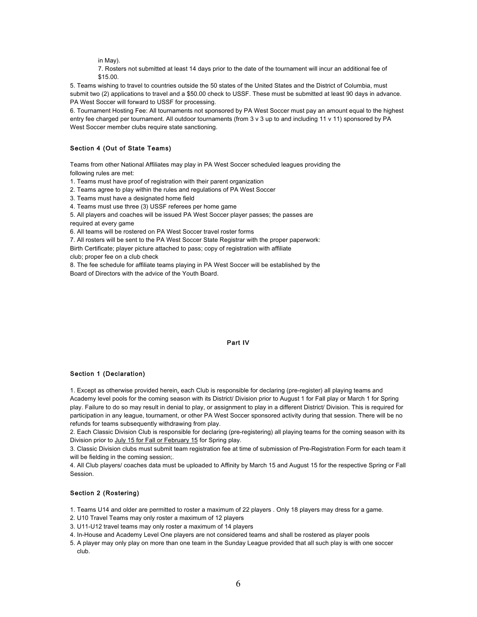in May).

7. Rosters not submitted at least 14 days prior to the date of the tournament will incur an additional fee of \$15.00.

5. Teams wishing to travel to countries outside the 50 states of the United States and the District of Columbia, must submit two (2) applications to travel and a \$50.00 check to USSF. These must be submitted at least 90 days in advance. PA West Soccer will forward to USSF for processing.

6. Tournament Hosting Fee: All tournaments not sponsored by PA West Soccer must pay an amount equal to the highest entry fee charged per tournament. All outdoor tournaments (from 3 v 3 up to and including 11 v 11) sponsored by PA West Soccer member clubs require state sanctioning.

# Section 4 (Out of State Teams)

Teams from other National Affiliates may play in PA West Soccer scheduled leagues providing the following rules are met:

1. Teams must have proof of registration with their parent organization

2. Teams agree to play within the rules and regulations of PA West Soccer

3. Teams must have a designated home field

4. Teams must use three (3) USSF referees per home game

5. All players and coaches will be issued PA West Soccer player passes; the passes are required at every game

6. All teams will be rostered on PA West Soccer travel roster forms

7. All rosters will be sent to the PA West Soccer State Registrar with the proper paperwork:

Birth Certificate; player picture attached to pass; copy of registration with affiliate

club; proper fee on a club check

8. The fee schedule for affiliate teams playing in PA West Soccer will be established by the Board of Directors with the advice of the Youth Board.

# Part IV

# Section 1 (Declaration)

1. Except as otherwise provided herein, each Club is responsible for declaring (pre-register) all playing teams and Academy level pools for the coming season with its District/ Division prior to August 1 for Fall play or March 1 for Spring play. Failure to do so may result in denial to play, or assignment to play in a different District/ Division. This is required for participation in any league, tournament, or other PA West Soccer sponsored activity during that session. There will be no refunds for teams subsequently withdrawing from play.

2. Each Classic Division Club is responsible for declaring (pre-registering) all playing teams for the coming season with its Division prior to July 15 for Fall or February 15 for Spring play.

3. Classic Division clubs must submit team registration fee at time of submission of Pre-Registration Form for each team it will be fielding in the coming session:.

4. All Club players/ coaches data must be uploaded to Affinity by March 15 and August 15 for the respective Spring or Fall Session.

# Section 2 (Rostering)

1. Teams U14 and older are permitted to roster a maximum of 22 players . Only 18 players may dress for a game.

- 2. U10 Travel Teams may only roster a maximum of 12 players
- 3. U11-U12 travel teams may only roster a maximum of 14 players
- 4. In-House and Academy Level One players are not considered teams and shall be rostered as player pools
- 5. A player may only play on more than one team in the Sunday League provided that all such play is with one soccer club.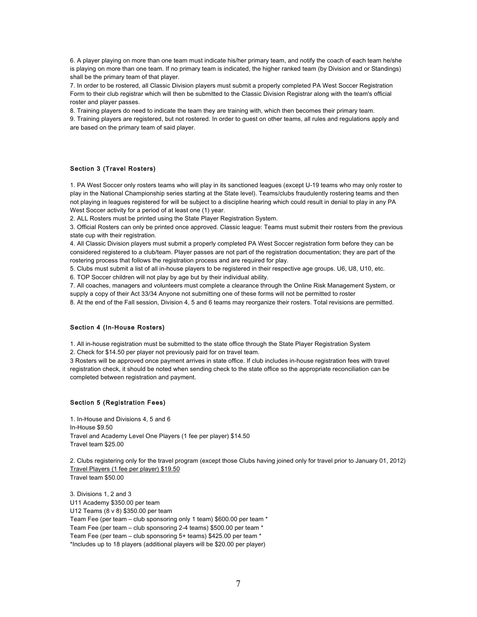6. A player playing on more than one team must indicate his/her primary team, and notify the coach of each team he/she is playing on more than one team. If no primary team is indicated, the higher ranked team (by Division and or Standings) shall be the primary team of that player.

7. In order to be rostered, all Classic Division players must submit a properly completed PA West Soccer Registration Form to their club registrar which will then be submitted to the Classic Division Registrar along with the team's official roster and player passes.

8. Training players do need to indicate the team they are training with, which then becomes their primary team.

9. Training players are registered, but not rostered. In order to guest on other teams, all rules and regulations apply and are based on the primary team of said player.

# Section 3 (Travel Rosters)

1. PA West Soccer only rosters teams who will play in its sanctioned leagues (except U-19 teams who may only roster to play in the National Championship series starting at the State level). Teams/clubs fraudulently rostering teams and then not playing in leagues registered for will be subject to a discipline hearing which could result in denial to play in any PA West Soccer activity for a period of at least one (1) year.

2. ALL Rosters must be printed using the State Player Registration System.

3. Official Rosters can only be printed once approved. Classic league: Teams must submit their rosters from the previous state cup with their registration.

4. All Classic Division players must submit a properly completed PA West Soccer registration form before they can be considered registered to a club/team. Player passes are not part of the registration documentation; they are part of the rostering process that follows the registration process and are required for play.

5. Clubs must submit a list of all in-house players to be registered in their respective age groups. U6, U8, U10, etc.

6. TOP Soccer children will not play by age but by their individual ability.

7. All coaches, managers and volunteers must complete a clearance through the Online Risk Management System, or supply a copy of their Act 33/34 Anyone not submitting one of these forms will not be permitted to roster

8. At the end of the Fall session, Division 4, 5 and 6 teams may reorganize their rosters. Total revisions are permitted.

#### Section 4 (In-House Rosters)

1. All in-house registration must be submitted to the state office through the State Player Registration System

2. Check for \$14.50 per player not previously paid for on travel team.

3 Rosters will be approved once payment arrives in state office. If club includes in-house registration fees with travel registration check, it should be noted when sending check to the state office so the appropriate reconciliation can be completed between registration and payment.

#### Section 5 (Registration Fees)

1. In-House and Divisions 4, 5 and 6 In-House \$9.50 Travel and Academy Level One Players (1 fee per player) \$14.50 Travel team \$25.00

2. Clubs registering only for the travel program (except those Clubs having joined only for travel prior to January 01, 2012) Travel Players (1 fee per player) \$19.50 Travel team \$50.00

3. Divisions 1, 2 and 3 U11 Academy \$350.00 per team U12 Teams (8 v 8) \$350.00 per team Team Fee (per team – club sponsoring only 1 team) \$600.00 per team \* Team Fee (per team – club sponsoring 2-4 teams) \$500.00 per team \* Team Fee (per team – club sponsoring 5+ teams) \$425.00 per team \* \*Includes up to 18 players (additional players will be \$20.00 per player)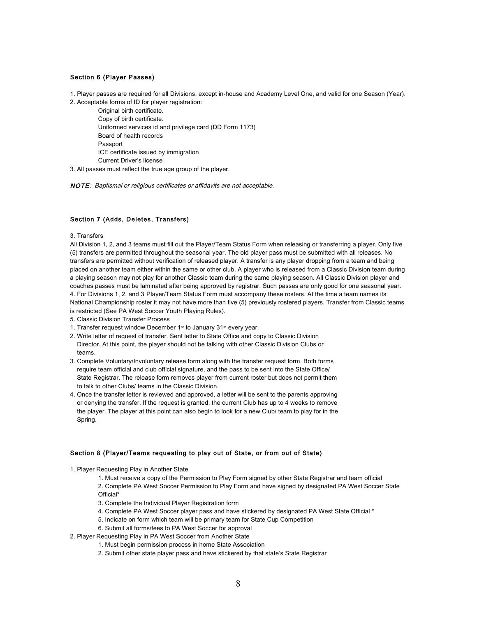# Section 6 (Player Passes)

1. Player passes are required for all Divisions, except in-house and Academy Level One, and valid for one Season (Year).

2. Acceptable forms of ID for player registration:

Original birth certificate. Copy of birth certificate. Uniformed services id and privilege card (DD Form 1173) Board of health records Passport ICE certificate issued by immigration Current Driver's license

3. All passes must reflect the true age group of the player.

NOTE: Baptismal or religious certificates or affidavits are not acceptable.

# Section 7 (Adds, Deletes, Transfers)

3. Transfers

All Division 1, 2, and 3 teams must fill out the Player/Team Status Form when releasing or transferring a player. Only five (5) transfers are permitted throughout the seasonal year. The old player pass must be submitted with all releases. No transfers are permitted without verification of released player. A transfer is any player dropping from a team and being placed on another team either within the same or other club. A player who is released from a Classic Division team during a playing season may not play for another Classic team during the same playing season. All Classic Division player and coaches passes must be laminated after being approved by registrar. Such passes are only good for one seasonal year. 4. For Divisions 1, 2, and 3 Player/Team Status Form must accompany these rosters. At the time a team names its National Championship roster it may not have more than five (5) previously rostered players. Transfer from Classic teams is restricted (See PA West Soccer Youth Playing Rules).

- 5. Classic Division Transfer Process
- 1. Transfer request window December 1st to January 31st every year.
- 2. Write letter of request of transfer. Sent letter to State Office and copy to Classic Division Director. At this point, the player should not be talking with other Classic Division Clubs or teams.
- 3. Complete Voluntary/Involuntary release form along with the transfer request form. Both forms require team official and club official signature, and the pass to be sent into the State Office/ State Registrar. The release form removes player from current roster but does not permit them to talk to other Clubs/ teams in the Classic Division.
- 4. Once the transfer letter is reviewed and approved, a letter will be sent to the parents approving or denying the transfer. If the request is granted, the current Club has up to 4 weeks to remove the player. The player at this point can also begin to look for a new Club/ team to play for in the Spring.

# Section 8 (Player/Teams requesting to play out of State, or from out of State)

1. Player Requesting Play in Another State

1. Must receive a copy of the Permission to Play Form signed by other State Registrar and team official 2. Complete PA West Soccer Permission to Play Form and have signed by designated PA West Soccer State Official\*

- 3. Complete the Individual Player Registration form
- 4. Complete PA West Soccer player pass and have stickered by designated PA West State Official \*
- 5. Indicate on form which team will be primary team for State Cup Competition
- 6. Submit all forms/fees to PA West Soccer for approval
- 2. Player Requesting Play in PA West Soccer from Another State
	- 1. Must begin permission process in home State Association
	- 2. Submit other state player pass and have stickered by that state's State Registrar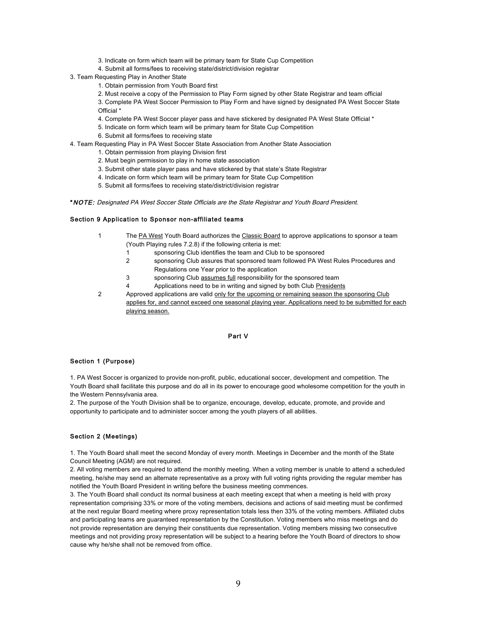- 3. Indicate on form which team will be primary team for State Cup Competition
- 4. Submit all forms/fees to receiving state/district/division registrar
- 3. Team Requesting Play in Another State
	- 1. Obtain permission from Youth Board first
	- 2. Must receive a copy of the Permission to Play Form signed by other State Registrar and team official

3. Complete PA West Soccer Permission to Play Form and have signed by designated PA West Soccer State Official \*

- 4. Complete PA West Soccer player pass and have stickered by designated PA West State Official \*
- 5. Indicate on form which team will be primary team for State Cup Competition
- 6. Submit all forms/fees to receiving state
- 4. Team Requesting Play in PA West Soccer State Association from Another State Association
	- 1. Obtain permission from playing Division first
	- 2. Must begin permission to play in home state association
	- 3. Submit other state player pass and have stickered by that state's State Registrar
	- 4. Indicate on form which team will be primary team for State Cup Competition
	- 5. Submit all forms/fees to receiving state/district/division registrar

\*NOTE: Designated PA West Soccer State Officials are the State Registrar and Youth Board President.

#### Section 9 Application to Sponsor non-affiliated teams

- 1 The PA West Youth Board authorizes the Classic Board to approve applications to sponsor a team (Youth Playing rules 7.2.8) if the following criteria is met:
	- 1 sponsoring Club identifies the team and Club to be sponsored
	- 2 sponsoring Club assures that sponsored team followed PA West Rules Procedures and Regulations one Year prior to the application
	- 3 sponsoring Club assumes full responsibility for the sponsored team
	- 4 Applications need to be in writing and signed by both Club Presidents
- 2 Approved applications are valid only for the upcoming or remaining season the sponsoring Club applies for, and cannot exceed one seasonal playing year. Applications need to be submitted for each playing season.

# Part V

# Section 1 (Purpose)

1. PA West Soccer is organized to provide non-profit, public, educational soccer, development and competition. The Youth Board shall facilitate this purpose and do all in its power to encourage good wholesome competition for the youth in the Western Pennsylvania area.

2. The purpose of the Youth Division shall be to organize, encourage, develop, educate, promote, and provide and opportunity to participate and to administer soccer among the youth players of all abilities.

# Section 2 (Meetings)

1. The Youth Board shall meet the second Monday of every month. Meetings in December and the month of the State Council Meeting (AGM) are not required.

2. All voting members are required to attend the monthly meeting. When a voting member is unable to attend a scheduled meeting, he/she may send an alternate representative as a proxy with full voting rights providing the regular member has notified the Youth Board President in writing before the business meeting commences.

3. The Youth Board shall conduct its normal business at each meeting except that when a meeting is held with proxy representation comprising 33% or more of the voting members, decisions and actions of said meeting must be confirmed at the next regular Board meeting where proxy representation totals less then 33% of the voting members. Affiliated clubs and participating teams are guaranteed representation by the Constitution. Voting members who miss meetings and do not provide representation are denying their constituents due representation. Voting members missing two consecutive meetings and not providing proxy representation will be subject to a hearing before the Youth Board of directors to show cause why he/she shall not be removed from office.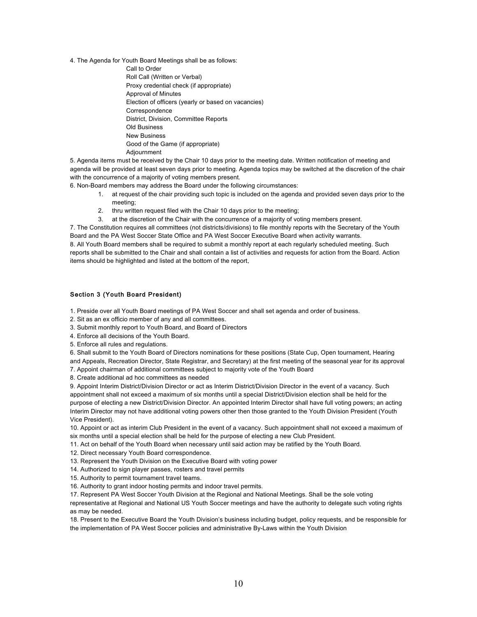4. The Agenda for Youth Board Meetings shall be as follows:

Call to Order Roll Call (Written or Verbal) Proxy credential check (if appropriate) Approval of Minutes Election of officers (yearly or based on vacancies) Correspondence District, Division, Committee Reports Old Business New Business Good of the Game (if appropriate) Adjournment

5. Agenda items must be received by the Chair 10 days prior to the meeting date. Written notification of meeting and agenda will be provided at least seven days prior to meeting. Agenda topics may be switched at the discretion of the chair with the concurrence of a majority of voting members present.

6. Non-Board members may address the Board under the following circumstances:

- 1. at request of the chair providing such topic is included on the agenda and provided seven days prior to the meeting;
- 2. thru written request filed with the Chair 10 days prior to the meeting;
- 3. at the discretion of the Chair with the concurrence of a majority of voting members present.

7. The Constitution requires all committees (not districts/divisions) to file monthly reports with the Secretary of the Youth Board and the PA West Soccer State Office and PA West Soccer Executive Board when activity warrants.

8. All Youth Board members shall be required to submit a monthly report at each regularly scheduled meeting. Such reports shall be submitted to the Chair and shall contain a list of activities and requests for action from the Board. Action items should be highlighted and listed at the bottom of the report.

# Section 3 (Youth Board President)

1. Preside over all Youth Board meetings of PA West Soccer and shall set agenda and order of business.

2. Sit as an ex officio member of any and all committees.

3. Submit monthly report to Youth Board, and Board of Directors

- 4. Enforce all decisions of the Youth Board.
- 5. Enforce all rules and regulations.

6. Shall submit to the Youth Board of Directors nominations for these positions (State Cup, Open tournament, Hearing

and Appeals, Recreation Director, State Registrar, and Secretary) at the first meeting of the seasonal year for its approval 7. Appoint chairman of additional committees subject to majority vote of the Youth Board

8. Create additional ad hoc committees as needed

9. Appoint Interim District/Division Director or act as Interim District/Division Director in the event of a vacancy. Such appointment shall not exceed a maximum of six months until a special District/Division election shall be held for the purpose of electing a new District/Division Director. An appointed Interim Director shall have full voting powers; an acting Interim Director may not have additional voting powers other then those granted to the Youth Division President (Youth Vice President).

10. Appoint or act as interim Club President in the event of a vacancy. Such appointment shall not exceed a maximum of six months until a special election shall be held for the purpose of electing a new Club President.

11. Act on behalf of the Youth Board when necessary until said action may be ratified by the Youth Board.

- 12. Direct necessary Youth Board correspondence.
- 13. Represent the Youth Division on the Executive Board with voting power
- 14. Authorized to sign player passes, rosters and travel permits
- 15. Authority to permit tournament travel teams.

16. Authority to grant indoor hosting permits and indoor travel permits.

17. Represent PA West Soccer Youth Division at the Regional and National Meetings. Shall be the sole voting

representative at Regional and National US Youth Soccer meetings and have the authority to delegate such voting rights as may be needed.

18. Present to the Executive Board the Youth Division's business including budget, policy requests, and be responsible for the implementation of PA West Soccer policies and administrative By-Laws within the Youth Division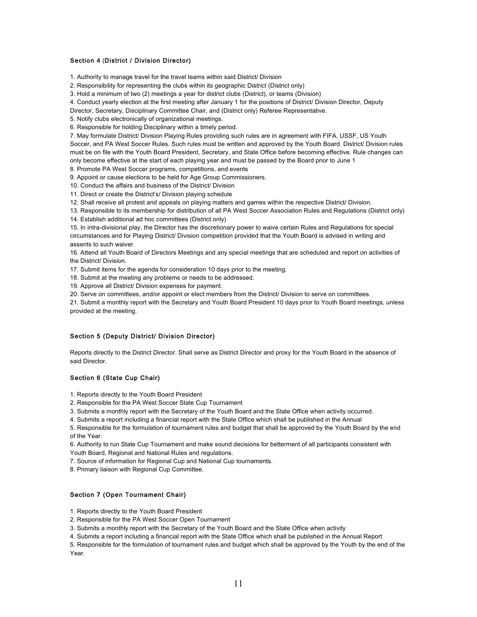# Section 4 (District / Division Director)

1. Authority to manage travel for the travel teams within said District/ Division

2. Responsibility for representing the clubs within its geographic District (District only)

3. Hold a minimum of two (2) meetings a year for district clubs (District), or teams (Division)

4. Conduct yearly election at the first meeting after January 1 for the positions of District/ Division Director, Deputy

Director, Secretary, Disciplinary Committee Chair, and (District only) Referee Representative.

5. Notify clubs electronically of organizational meetings.

6. Responsible for holding Disciplinary within a timely period.

7. May formulate District/ Division Playing Rules providing such rules are in agreement with FIFA, USSF, US Youth Soccer, and PA West Soccer Rules. Such rules must be written and approved by the Youth Board. District/ Division rules must be on file with the Youth Board President, Secretary, and State Office before becoming effective. Rule changes can only become effective at the start of each playing year and must be passed by the Board prior to June 1

8. Promote PA West Soccer programs, competitions, and events

9. Appoint or cause elections to be held for Age Group Commissioners.

10. Conduct the affairs and business of the District/ Division

11. Direct or create the District's/ Division playing schedule

12. Shall receive all protest and appeals on playing matters and games within the respective District/ Division.

13. Responsible to its membership for distribution of all PA West Soccer Association Rules and Regulations (District only)

14. Establish additional ad hoc committees (District only)

15. In intra-divisional play, the Director has the discretionary power to waive certain Rules and Regulations for special circumstances and for Playing District/ Division competition provided that the Youth Board is advised in writing and assents to such waiver.

16. Attend all Youth Board of Directors Meetings and any special meetings that are scheduled and report on activities of the District/ Division.

17. Submit items for the agenda for consideration 10 days prior to the meeting.

18. Submit at the meeting any problems or needs to be addressed.

19. Approve all District/ Division expenses for payment.

20. Serve on committees, and/or appoint or elect members from the District/ Division to serve on committees.

21. Submit a monthly report with the Secretary and Youth Board President 10 days prior to Youth Board meetings, unless provided at the meeting.

# Section 5 (Deputy District/ Division Director)

Reports directly to the District Director. Shall serve as District Director and proxy for the Youth Board in the absence of said Director.

## Section 6 (State Cup Chair)

1. Reports directly to the Youth Board President

2. Responsible for the PA West Soccer State Cup Tournament

3. Submits a monthly report with the Secretary of the Youth Board and the State Office when activity occurred.

4. Submits a report including a financial report with the State Office which shall be published in the Annual

5. Responsible for the formulation of tournament rules and budget that shall be approved by the Youth Board by the end of the Year.

6. Authority to run State Cup Tournament and make sound decisions for betterment of all participants consistent with Youth Board, Regional and National Rules and regulations.

7. Source of information for Regional Cup and National Cup tournaments.

8. Primary liaison with Regional Cup Committee.

# Section 7 (Open Tournament Chair)

1. Reports directly to the Youth Board President

2. Responsible for the PA West Soccer Open Tournament

3. Submits a monthly report with the Secretary of the Youth Board and the State Office when activity

4. Submits a report including a financial report with the State Office which shall be published in the Annual Report

5. Responsible for the formulation of tournament rules and budget which shall be approved by the Youth by the end of the Year.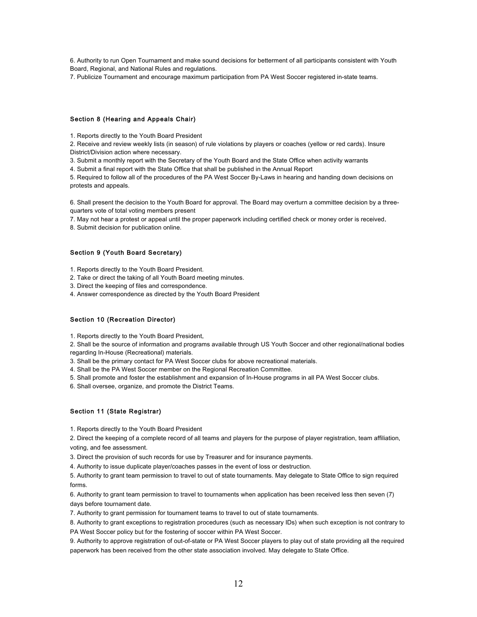6. Authority to run Open Tournament and make sound decisions for betterment of all participants consistent with Youth Board, Regional, and National Rules and regulations.

7. Publicize Tournament and encourage maximum participation from PA West Soccer registered in-state teams.

### Section 8 (Hearing and Appeals Chair)

1. Reports directly to the Youth Board President

2. Receive and review weekly lists (in season) of rule violations by players or coaches (yellow or red cards). Insure District/Division action where necessary.

3. Submit a monthly report with the Secretary of the Youth Board and the State Office when activity warrants

4. Submit a final report with the State Office that shall be published in the Annual Report

5. Required to follow all of the procedures of the PA West Soccer By-Laws in hearing and handing down decisions on protests and appeals.

6. Shall present the decision to the Youth Board for approval. The Board may overturn a committee decision by a threequarters vote of total voting members present

7. May not hear a protest or appeal until the proper paperwork including certified check or money order is received.

8. Submit decision for publication online.

# Section 9 (Youth Board Secretary)

1. Reports directly to the Youth Board President.

2. Take or direct the taking of all Youth Board meeting minutes.

3. Direct the keeping of files and correspondence.

4. Answer correspondence as directed by the Youth Board President

### Section 10 (Recreation Director)

1. Reports directly to the Youth Board President.

2. Shall be the source of information and programs available through US Youth Soccer and other regional/national bodies regarding In-House (Recreational) materials.

3. Shall be the primary contact for PA West Soccer clubs for above recreational materials.

4. Shall be the PA West Soccer member on the Regional Recreation Committee.

5. Shall promote and foster the establishment and expansion of In-House programs in all PA West Soccer clubs.

6. Shall oversee, organize, and promote the District Teams.

# Section 11 (State Registrar)

1. Reports directly to the Youth Board President

2. Direct the keeping of a complete record of all teams and players for the purpose of player registration, team affiliation, voting, and fee assessment.

3. Direct the provision of such records for use by Treasurer and for insurance payments.

4. Authority to issue duplicate player/coaches passes in the event of loss or destruction.

5. Authority to grant team permission to travel to out of state tournaments. May delegate to State Office to sign required forms.

6. Authority to grant team permission to travel to tournaments when application has been received less then seven (7) days before tournament date.

7. Authority to grant permission for tournament teams to travel to out of state tournaments.

8. Authority to grant exceptions to registration procedures (such as necessary IDs) when such exception is not contrary to PA West Soccer policy but for the fostering of soccer within PA West Soccer.

9. Authority to approve registration of out-of-state or PA West Soccer players to play out of state providing all the required paperwork has been received from the other state association involved. May delegate to State Office.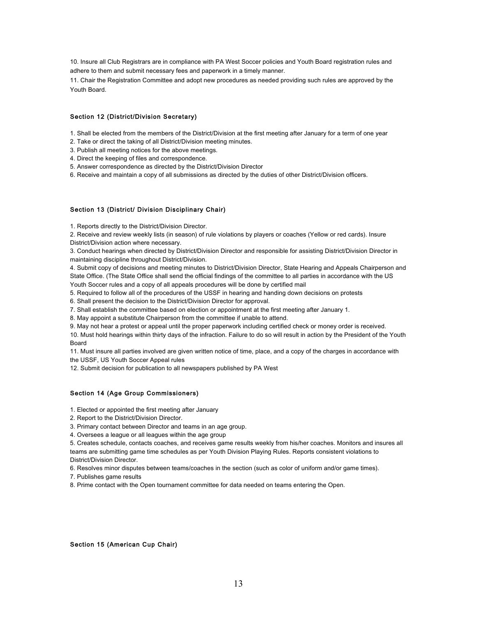10. Insure all Club Registrars are in compliance with PA West Soccer policies and Youth Board registration rules and adhere to them and submit necessary fees and paperwork in a timely manner.

11. Chair the Registration Committee and adopt new procedures as needed providing such rules are approved by the Youth Board.

### Section 12 (District/Division Secretary)

1. Shall be elected from the members of the District/Division at the first meeting after January for a term of one year

2. Take or direct the taking of all District/Division meeting minutes.

3. Publish all meeting notices for the above meetings.

4. Direct the keeping of files and correspondence.

5. Answer correspondence as directed by the District/Division Director

6. Receive and maintain a copy of all submissions as directed by the duties of other District/Division officers.

# Section 13 (District/ Division Disciplinary Chair)

1. Reports directly to the District/Division Director.

2. Receive and review weekly lists (in season) of rule violations by players or coaches (Yellow or red cards). Insure District/Division action where necessary.

3. Conduct hearings when directed by District/Division Director and responsible for assisting District/Division Director in maintaining discipline throughout District/Division.

4. Submit copy of decisions and meeting minutes to District/Division Director, State Hearing and Appeals Chairperson and State Office. (The State Office shall send the official findings of the committee to all parties in accordance with the US Youth Soccer rules and a copy of all appeals procedures will be done by certified mail

5. Required to follow all of the procedures of the USSF in hearing and handing down decisions on protests

6. Shall present the decision to the District/Division Director for approval.

7. Shall establish the committee based on election or appointment at the first meeting after January 1.

8. May appoint a substitute Chairperson from the committee if unable to attend.

9. May not hear a protest or appeal until the proper paperwork including certified check or money order is received.

10. Must hold hearings within thirty days of the infraction. Failure to do so will result in action by the President of the Youth Board

11. Must insure all parties involved are given written notice of time, place, and a copy of the charges in accordance with the USSF, US Youth Soccer Appeal rules

12. Submit decision for publication to all newspapers published by PA West

### Section 14 (Age Group Commissioners)

1. Elected or appointed the first meeting after January

2. Report to the District/Division Director.

3. Primary contact between Director and teams in an age group.

4. Oversees a league or all leagues within the age group

5. Creates schedule, contacts coaches, and receives game results weekly from his/her coaches. Monitors and insures all teams are submitting game time schedules as per Youth Division Playing Rules. Reports consistent violations to District/Division Director.

6. Resolves minor disputes between teams/coaches in the section (such as color of uniform and/or game times).

7. Publishes game results

8. Prime contact with the Open tournament committee for data needed on teams entering the Open.

#### Section 15 (American Cup Chair)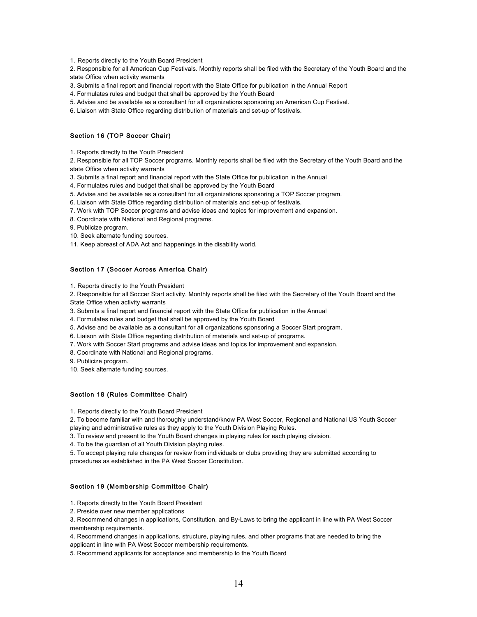1. Reports directly to the Youth Board President

2. Responsible for all American Cup Festivals. Monthly reports shall be filed with the Secretary of the Youth Board and the state Office when activity warrants

3. Submits a final report and financial report with the State Office for publication in the Annual Report

- 4. Formulates rules and budget that shall be approved by the Youth Board
- 5. Advise and be available as a consultant for all organizations sponsoring an American Cup Festival.
- 6. Liaison with State Office regarding distribution of materials and set-up of festivals.

# Section 16 (TOP Soccer Chair)

1. Reports directly to the Youth President

2. Responsible for all TOP Soccer programs. Monthly reports shall be filed with the Secretary of the Youth Board and the state Office when activity warrants

3. Submits a final report and financial report with the State Office for publication in the Annual

4. Formulates rules and budget that shall be approved by the Youth Board

5. Advise and be available as a consultant for all organizations sponsoring a TOP Soccer program.

6. Liaison with State Office regarding distribution of materials and set-up of festivals.

7. Work with TOP Soccer programs and advise ideas and topics for improvement and expansion.

8. Coordinate with National and Regional programs.

9. Publicize program.

10. Seek alternate funding sources.

11. Keep abreast of ADA Act and happenings in the disability world.

# Section 17 (Soccer Across America Chair)

1. Reports directly to the Youth President

2. Responsible for all Soccer Start activity. Monthly reports shall be filed with the Secretary of the Youth Board and the State Office when activity warrants

3. Submits a final report and financial report with the State Office for publication in the Annual

4. Formulates rules and budget that shall be approved by the Youth Board

5. Advise and be available as a consultant for all organizations sponsoring a Soccer Start program.

6. Liaison with State Office regarding distribution of materials and set-up of programs.

7. Work with Soccer Start programs and advise ideas and topics for improvement and expansion.

8. Coordinate with National and Regional programs.

9. Publicize program.

10. Seek alternate funding sources.

# Section 18 (Rules Committee Chair)

1. Reports directly to the Youth Board President

2. To become familiar with and thoroughly understand/know PA West Soccer, Regional and National US Youth Soccer playing and administrative rules as they apply to the Youth Division Playing Rules.

3. To review and present to the Youth Board changes in playing rules for each playing division.

4. To be the guardian of all Youth Division playing rules.

5. To accept playing rule changes for review from individuals or clubs providing they are submitted according to procedures as established in the PA West Soccer Constitution.

# Section 19 (Membership Committee Chair)

1. Reports directly to the Youth Board President

2. Preside over new member applications

3. Recommend changes in applications, Constitution, and By-Laws to bring the applicant in line with PA West Soccer membership requirements.

4. Recommend changes in applications, structure, playing rules, and other programs that are needed to bring the applicant in line with PA West Soccer membership requirements.

5. Recommend applicants for acceptance and membership to the Youth Board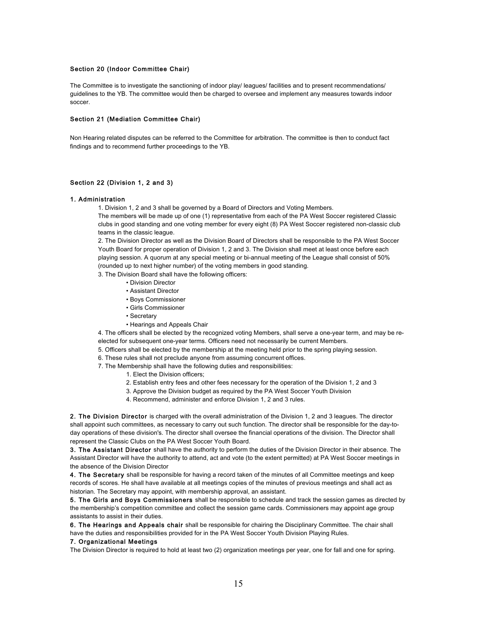### Section 20 (Indoor Committee Chair)

The Committee is to investigate the sanctioning of indoor play/ leagues/ facilities and to present recommendations/ guidelines to the YB. The committee would then be charged to oversee and implement any measures towards indoor soccer.

#### Section 21 (Mediation Committee Chair)

Non Hearing related disputes can be referred to the Committee for arbitration. The committee is then to conduct fact findings and to recommend further proceedings to the YB.

### Section 22 (Division 1, 2 and 3)

#### 1. Administration

1. Division 1, 2 and 3 shall be governed by a Board of Directors and Voting Members.

The members will be made up of one (1) representative from each of the PA West Soccer registered Classic clubs in good standing and one voting member for every eight (8) PA West Soccer registered non-classic club teams in the classic league.

2. The Division Director as well as the Division Board of Directors shall be responsible to the PA West Soccer Youth Board for proper operation of Division 1, 2 and 3. The Division shall meet at least once before each playing session. A quorum at any special meeting or bi-annual meeting of the League shall consist of 50% (rounded up to next higher number) of the voting members in good standing.

3. The Division Board shall have the following officers:

- Division Director
- Assistant Director
- Boys Commissioner
- Girls Commissioner
- Secretary
- Hearings and Appeals Chair

4. The officers shall be elected by the recognized voting Members, shall serve a one-year term, and may be reelected for subsequent one-year terms. Officers need not necessarily be current Members.

- 5. Officers shall be elected by the membership at the meeting held prior to the spring playing session.
- 6. These rules shall not preclude anyone from assuming concurrent offices.
- 7. The Membership shall have the following duties and responsibilities:
	- 1. Elect the Division officers;
	- 2. Establish entry fees and other fees necessary for the operation of the Division 1, 2 and 3
	- 3. Approve the Division budget as required by the PA West Soccer Youth Division
	- 4. Recommend, administer and enforce Division 1, 2 and 3 rules.

2. The Division Director is charged with the overall administration of the Division 1, 2 and 3 leagues. The director shall appoint such committees, as necessary to carry out such function. The director shall be responsible for the day-today operations of these division's. The director shall oversee the financial operations of the division. The Director shall represent the Classic Clubs on the PA West Soccer Youth Board.

3. The Assistant Director shall have the authority to perform the duties of the Division Director in their absence. The Assistant Director will have the authority to attend, act and vote (to the extent permitted) at PA West Soccer meetings in the absence of the Division Director

4. The Secretary shall be responsible for having a record taken of the minutes of all Committee meetings and keep records of scores. He shall have available at all meetings copies of the minutes of previous meetings and shall act as historian. The Secretary may appoint, with membership approval, an assistant.

5. The Girls and Boys Commissioners shall be responsible to schedule and track the session games as directed by the membership's competition committee and collect the session game cards. Commissioners may appoint age group assistants to assist in their duties.

6. The Hearings and Appeals chair shall be responsible for chairing the Disciplinary Committee. The chair shall have the duties and responsibilities provided for in the PA West Soccer Youth Division Playing Rules.

#### 7. Organizational Meetings

The Division Director is required to hold at least two (2) organization meetings per year, one for fall and one for spring.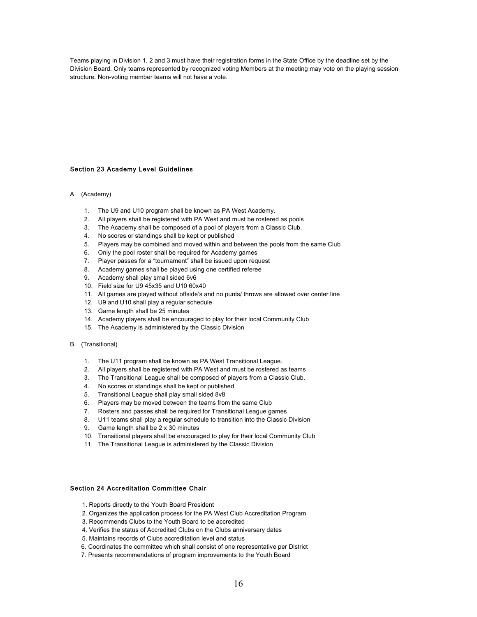Teams playing in Division 1, 2 and 3 must have their registration forms in the State Office by the deadline set by the Division Board. Only teams represented by recognized voting Members at the meeting may vote on the playing session structure. Non-voting member teams will not have a vote.

# Section 23 Academy Level Guidelines

#### A (Academy)

- 1. The U9 and U10 program shall be known as PA West Academy.
- 2. All players shall be registered with PA West and must be rostered as pools
- 3. The Academy shall be composed of a pool of players from a Classic Club.
- 4. No scores or standings shall be kept or published
- 5. Players may be combined and moved within and between the pools from the same Club
- 6. Only the pool roster shall be required for Academy games
- 7. Player passes for a "tournament" shall be issued upon request
- 8. Academy games shall be played using one certified referee
- 9. Academy shall play small sided 6v6
- 10. Field size for U9 45x35 and U10 60x40
- 11. All games are played without offside's and no punts/ throws are allowed over center line
- 12. U9 and U10 shall play a regular schedule
- 13. Game length shall be 25 minutes
- 14. Academy players shall be encouraged to play for their local Community Club
- 15. The Academy is administered by the Classic Division

### B (Transitional)

- 1. The U11 program shall be known as PA West Transitional League.
- 2. All players shall be registered with PA West and must be rostered as teams
- 3. The Transitional League shall be composed of players from a Classic Club.
- 4. No scores or standings shall be kept or published
- 5. Transitional League shall play small sided 8v8
- 6. Players may be moved between the teams from the same Club
- 7. Rosters and passes shall be required for Transitional League games
- 8. U11 teams shall play a regular schedule to transition into the Classic Division
- 9. Game length shall be 2 x 30 minutes
- 10. Transitional players shall be encouraged to play for their local Community Club
- 11. The Transitional League is administered by the Classic Division

# Section 24 Accreditation Committee Chair

- 1. Reports directly to the Youth Board President
- 2. Organizes the application process for the PA West Club Accreditation Program
- 3. Recommends Clubs to the Youth Board to be accredited
- 4. Verifies the status of Accredited Clubs on the Clubs anniversary dates
- 5. Maintains records of Clubs accreditation level and status
- 6. Coordinates the committee which shall consist of one representative per District
- 7. Presents recommendations of program improvements to the Youth Board